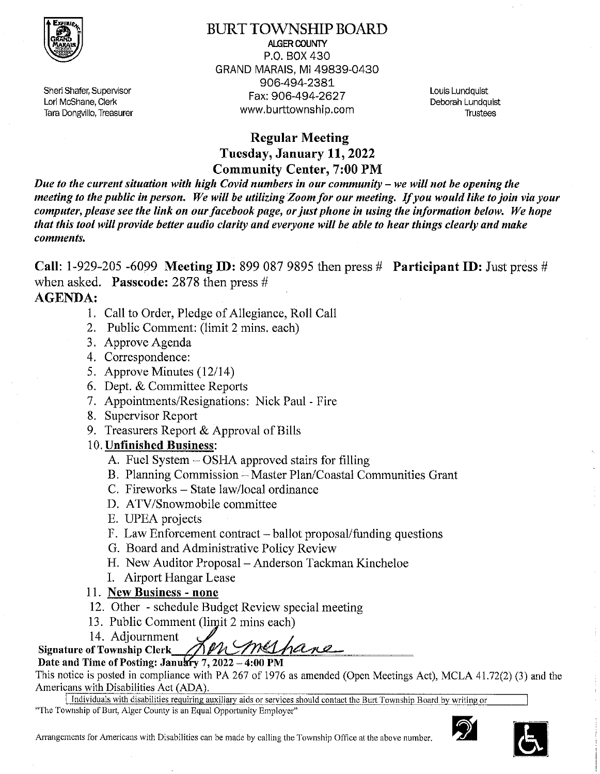

Sheri Shafer, Supervisor Lori McShane, Clerk Tara Dongvillo, Treasurer **BURT TOWNSHIP BOARD ALGER COUNTY** P.O. BOX 430 GRAND MARAIS, MI 49839-0430 906-494-2381 Fax: 906-494-2627 www.burttownship.com

Louis Lundauist Deborah Lundquist **Trustees** 

# **Regular Meeting** Tuesday, January 11, 2022 **Community Center, 7:00 PM**

Due to the current situation with high Covid numbers in our community  $-$  we will not be opening the meeting to the public in person. We will be utilizing Zoom for our meeting. If you would like to join via your computer, please see the link on our facebook page, or just phone in using the information below. We hope that this tool will provide better audio clarity and everyone will be able to hear things clearly and make comments.

Call: 1-929-205 -6099 Meeting ID: 899 087 9895 then press  $#$  Participant ID: Just press  $#$ when asked. **Passcode:** 2878 then press  $#$ **AGENDA:** 

- 1. Call to Order, Pledge of Allegiance, Roll Call
- 2. Public Comment: (limit 2 mins. each)
- 3. Approve Agenda
- 4. Correspondence:
- 5. Approve Minutes  $(12/14)$
- 6. Dept. & Committee Reports
- 7. Appointments/Resignations: Nick Paul Fire
- 8. Supervisor Report
- 9. Treasurers Report & Approval of Bills

# 10. Unfinished Business:

- A. Fuel System OSHA approved stairs for filling
- B. Planning Commission Master Plan/Coastal Communities Grant
- C. Fireworks State law/local ordinance
- D. ATV/Snowmobile committee
- E. UPEA projects
- F. Law Enforcement contract ballot proposal/funding questions
- G. Board and Administrative Policy Review
- H. New Auditor Proposal Anderson Tackman Kincheloe
- I. Airport Hangar Lease
- 11. New Business none
- 12. Other schedule Budget Review special meeting
- 13. Public Comment (limit 2 mins each)
- 14. Adjournment

Signature of Township Clerk MPh med hand

This notice is posted in compliance with PA 267 of 1976 as amended (Open Meetings Act), MCLA 41.72(2) (3) and the Americans with Disabilities Act (ADA).

Individuals with disabilities requiring auxiliary aids or services should contact the Burt Township Board by writing or "The Township of Burt, Alger County is an Equal Opportunity Employer"



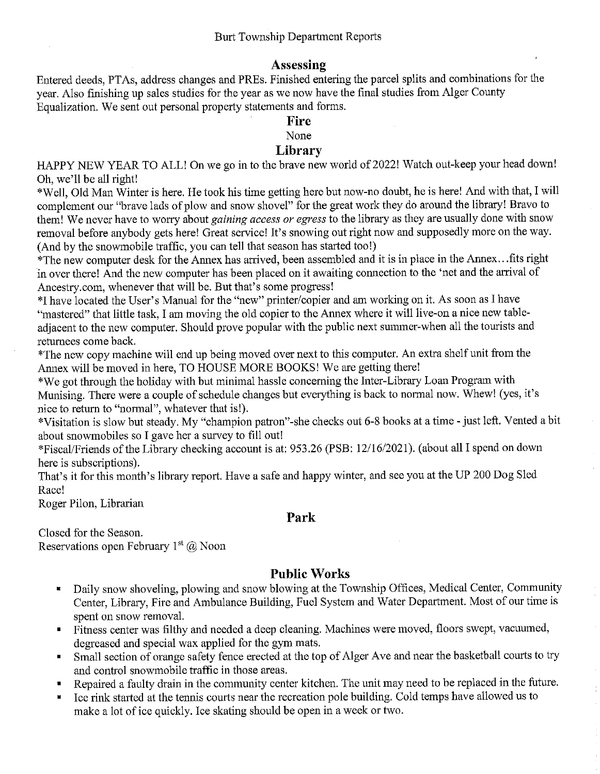# Assessing

Entered deeds, PTAs, address changes and PREs. Finished entering the parcel splits and combinations for the vear. Also finishing up sales studies for the year as we now have the final studies from Alger County Equalization. We sent out personal property statements and forms.

# **Fire**

None

# Library

HAPPY NEW YEAR TO ALL! On we go in to the brave new world of 2022! Watch out-keep your head down! Oh, we'll be all right!

\*Well, Old Man Winter is here. He took his time getting here but now-no doubt, he is here! And with that, I will complement our "brave lads of plow and snow shovel" for the great work they do around the library! Bravo to them! We never have to worry about gaining access or egress to the library as they are usually done with snow removal before anybody gets here! Great service! It's snowing out right now and supposedly more on the way. (And by the snowmobile traffic, you can tell that season has started too!)

\*The new computer desk for the Annex has arrived, been assembled and it is in place in the Annex...fits right in over there! And the new computer has been placed on it awaiting connection to the 'net and the arrival of Ancestry.com, whenever that will be. But that's some progress!

\*I have located the User's Manual for the "new" printer/copier and am working on it. As soon as I have "mastered" that little task, I am moving the old copier to the Annex where it will live-on a nice new tableadjacent to the new computer. Should prove popular with the public next summer-when all the tourists and returnees come back.

\*The new copy machine will end up being moved over next to this computer. An extra shelf unit from the Annex will be moved in here, TO HOUSE MORE BOOKS! We are getting there!

\*We got through the holiday with but minimal hassle concerning the Inter-Library Loan Program with Munising. There were a couple of schedule changes but everything is back to normal now. Whew! (yes, it's nice to return to "normal", whatever that is!).

\*Visitation is slow but steady. My "champion patron"-she checks out 6-8 books at a time - just left. Vented a bit about snowmobiles so I gave her a survey to fill out!

\*Fiscal/Friends of the Library checking account is at: 953.26 (PSB: 12/16/2021). (about all I spend on down here is subscriptions).

That's it for this month's library report. Have a safe and happy winter, and see you at the UP 200 Dog Sled Race!

Roger Pilon, Librarian

## Park

Closed for the Season. Reservations open February  $1<sup>st</sup>(a)$  Noon

## **Public Works**

- Daily snow shoveling, plowing and snow blowing at the Township Offices, Medical Center, Community  $\blacksquare$ Center, Library, Fire and Ambulance Building, Fuel System and Water Department. Most of our time is spent on snow removal.
- Fitness center was filthy and needed a deep cleaning. Machines were moved, floors swept, vacuumed,  $\blacksquare$ degreased and special wax applied for the gym mats.
- Small section of orange safety fence erected at the top of Alger Ave and near the basketball courts to try  $\blacksquare$ and control snowmobile traffic in those areas.
- Repaired a faulty drain in the community center kitchen. The unit may need to be replaced in the future.
- Ice rink started at the tennis courts near the recreation pole building. Cold temps have allowed us to make a lot of ice quickly. Ice skating should be open in a week or two.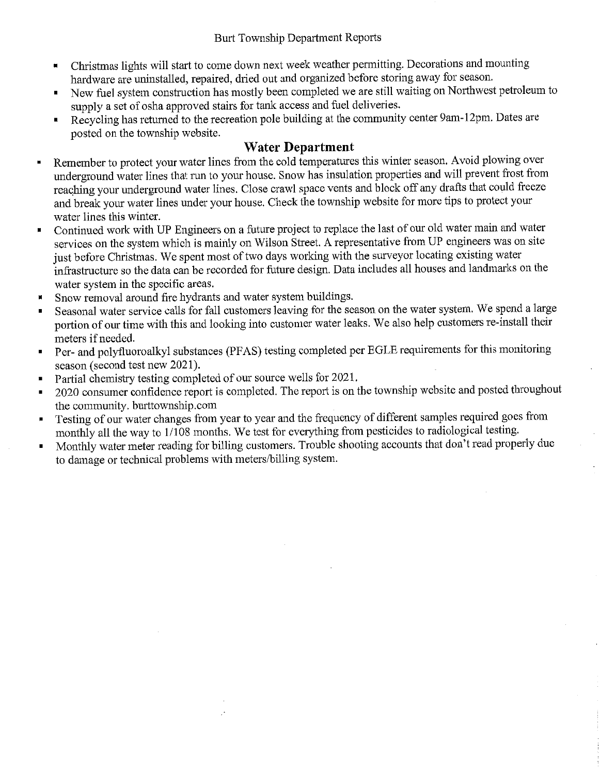- Christmas lights will start to come down next week weather permitting. Decorations and mounting  $\blacksquare$ hardware are uninstalled, repaired, dried out and organized before storing away for season.
- New fuel system construction has mostly been completed we are still waiting on Northwest petroleum to supply a set of osha approved stairs for tank access and fuel deliveries.
- Recycling has returned to the recreation pole building at the community center 9am-12pm. Dates are  $\blacksquare$ posted on the township website.

# **Water Department**

- Remember to protect your water lines from the cold temperatures this winter season. Avoid plowing over  $\blacksquare$ underground water lines that run to your house. Snow has insulation properties and will prevent frost from reaching your underground water lines. Close crawl space vents and block off any drafts that could freeze and break your water lines under your house. Check the township website for more tips to protect your water lines this winter.
- Continued work with UP Engineers on a future project to replace the last of our old water main and water services on the system which is mainly on Wilson Street. A representative from UP engineers was on site just before Christmas. We spent most of two days working with the surveyor locating existing water infrastructure so the data can be recorded for future design. Data includes all houses and landmarks on the water system in the specific areas.
- Snow removal around fire hydrants and water system buildings. П
- Seasonal water service calls for fall customers leaving for the season on the water system. We spend a large portion of our time with this and looking into customer water leaks. We also help customers re-install their meters if needed.
- Per- and polyfluoroalkyl substances (PFAS) testing completed per EGLE requirements for this monitoring  $\blacksquare$ season (second test new 2021).
- Partial chemistry testing completed of our source wells for 2021.  $\blacksquare$
- 2020 consumer confidence report is completed. The report is on the township website and posted throughout  $\blacksquare$ the community. burttownship.com
- Testing of our water changes from year to year and the frequency of different samples required goes from  $\blacksquare$ monthly all the way to 1/108 months. We test for everything from pesticides to radiological testing.
- Monthly water meter reading for billing customers. Trouble shooting accounts that don't read properly due  $\blacksquare$ to damage or technical problems with meters/billing system.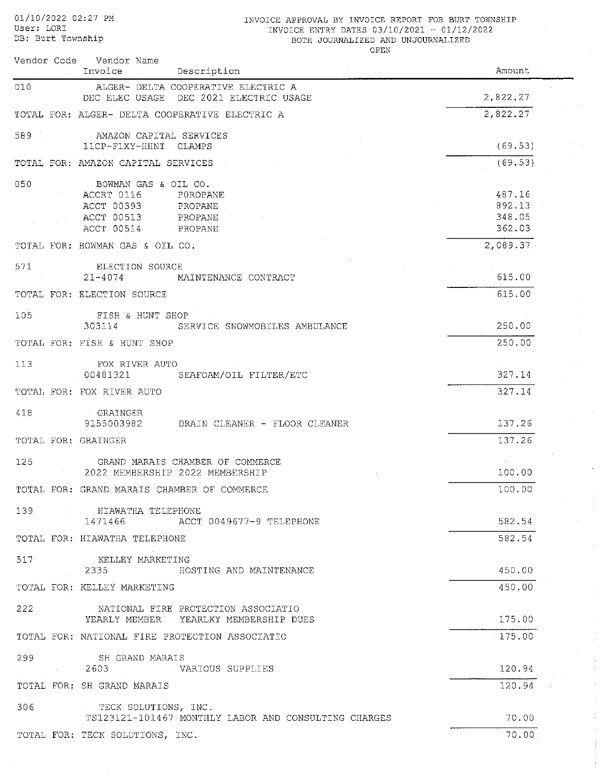01/10/2022 02:27 PM User: LORI DB: Burt Township

### INVOICE APPROVAL BY INVOICE REPORT FOR BURT TOWNSHIP INVOICE ENTRY DATES 03/10/2021 - 01/12/2022 BOTH JOURNALIZED AND UNJOURNALIZED

OPEN

 $\bar{z}$ 

÷  $\mathcal{I}$ 

|                     | Vendor Code Vendor Name<br>Invoice<br>Description                             | Amount             |
|---------------------|-------------------------------------------------------------------------------|--------------------|
| 010                 | ALGER- DELTA COOPERATIVE ELECTRIC A<br>DEC ELEC USAGE DEC 2021 ELECTRIC USAGE | 2,822.27           |
|                     | TOTAL FOR: ALGER- DELTA COOPERATIVE ELECTRIC A                                | 2,822.27           |
| 589                 | AMAZON CAPITAL SERVICES                                                       |                    |
|                     | 11CP-F1XY-HHNT CLAMPS<br>TOTAL FOR: AMAZON CAPITAL SERVICES                   | (69.53)<br>(69.53) |
|                     |                                                                               |                    |
| 050                 | BOWMAN GAS & OIL CO.<br>ACCRT 0116<br>POROPANE                                | 487.16             |
|                     | ACCT 00393<br>PROPANE                                                         | 892.13             |
|                     | ACCT 00513<br>PROPANE                                                         | 348.05             |
|                     | ACCT 00514<br>PROPANE                                                         | 362.03             |
|                     | TOTAL FOR: BOWMAN GAS & OIL CO.                                               | 2,089.37           |
| 571                 | ELECTION SOURCE                                                               |                    |
|                     | $21 - 4074$<br>MAINTENANCE CONTRACT                                           | 615.00             |
|                     | TOTAL FOR: ELECTION SOURCE                                                    | 615.00             |
| 105                 | FISH & HUNT SHOP<br>303114                                                    | 250.00             |
|                     | SERVICE SNOWMOBILES AMBULANCE<br>TOTAL FOR: FISH & HUNT SHOP                  | 250.00             |
|                     |                                                                               |                    |
| 113                 | FOX RIVER AUTO<br>00481321<br>SEAFOAM/OIL FILTER/ETC                          | 327.14             |
|                     | TOTAL FOR: FOX RIVER AUTO                                                     | 327.14             |
| 418                 | GRAINGER                                                                      |                    |
|                     | 9155003982<br>DRAIN CLEANER - FLOOR CLEANER                                   | 137.26             |
| TOTAL FOR: GRAINGER |                                                                               | 137.26             |
| 125                 | GRAND MARAIS CHAMBER OF COMMERCE                                              |                    |
|                     | 2022 MEMBERSHIP 2022 MEMBERSHIP                                               | 100.00             |
|                     | TOTAL FOR: GRAND MARAIS CHAMBER OF COMMERCE                                   | 100.00             |
|                     | 139 HIAWATHA TELEPHONE                                                        |                    |
|                     | 1471466 ACCT 0049677-9 TELEPHONE                                              | 582.54             |
|                     | TOTAL FOR: HIAWATHA TELEPHONE                                                 | 582.54             |
| 517                 | KELLEY MARKETING<br>2335<br>HOSTING AND MAINTENANCE                           | 450.00             |
|                     | TOTAL FOR: KELLEY MARKETING                                                   | 450.00             |
| 222                 | NATIONAL FIRE PROTECTION ASSOCIATIO                                           |                    |
|                     | YEARLY MEMBER YEARLKY MEMBERSHIP DUES                                         | 175.00             |
|                     | TOTAL FOR: NATIONAL FIRE PROTECTION ASSOCIATIO                                | $-175.00$          |
| 299                 | SH GRAND MARAIS                                                               |                    |
|                     | 2603<br>VARIOUS SUPPLIES                                                      | 120.94             |
|                     | TOTAL FOR: SH GRAND MARAIS                                                    | 120.94             |
| 306                 | TECK SOLUTIONS, INC.                                                          |                    |
|                     | TS123121-101467 MONTHLY LABOR AND CONSULTING CHARGES                          | 70.00              |
|                     | TOTAL FOR: TECK SOLUTIONS, INC.                                               | 70.00              |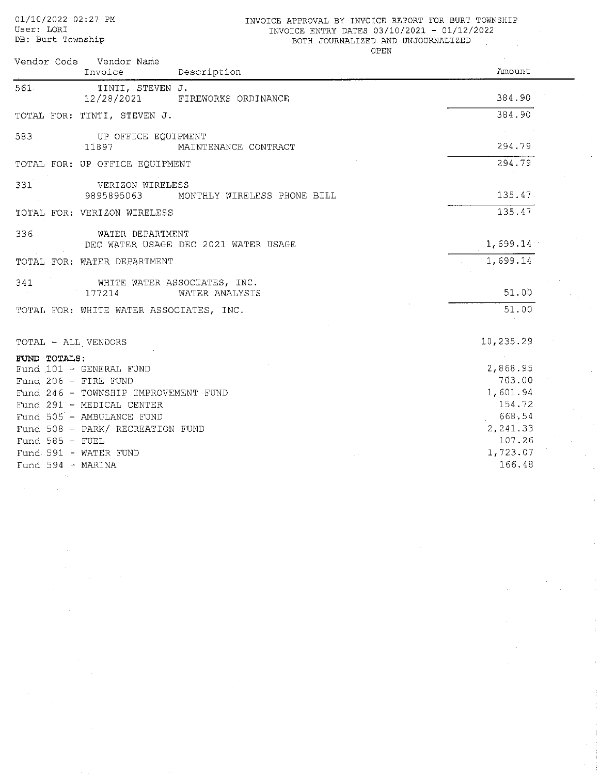01/10/2022 02:27 PM User: LORI DB: Burt Township

### INVOICE APPROVAL BY INVOICE REPORT FOR BURT TOWNSHIP INVOICE ENTRY DATES 03/10/2021 - 01/12/2022 BOTH JOURNALIZED AND UNJOURNALIZED

OPEN

| Vendor Code Vendor Name                 |                   |
|-----------------------------------------|-------------------|
| Invoice<br>Description                  | Amount            |
| 561.<br>TINTI, STEVEN J.                |                   |
| 12/28/2021<br>FIREWORKS ORDINANCE       | 384.90            |
| TOTAL FOR: TINTI, STEVEN J.             | 384.90            |
| 583<br>UP OFFICE EOUIPMENT              |                   |
| 11897<br>MAINTENANCE CONTRACT           | 294.79            |
| TOTAL FOR: UP OFFICE EQUIPMENT          | 294.79            |
| 331<br>VERIZON WIRELESS                 |                   |
| 9895895063 MONTHLY WIRELESS PHONE BILL  | 135.47            |
| TOTAL FOR: VERIZON WIRELESS             | 135.47            |
| 336<br>WATER DEPARTMENT                 |                   |
| DEC WATER USAGE DEC 2021 WATER USAGE    | 1,699.14          |
| TOTAL FOR: WATER DEPARTMENT             | 1,699.14          |
| WHITE WATER ASSOCIATES, INC.<br>341     |                   |
| WATER ANALYSIS<br>177214                | 51.00             |
| TOTAL FOR: WHITE WATER ASSOCIATES, INC. | 51.00             |
|                                         |                   |
| TOTAL - ALL VENDORS                     | 10,235.29         |
| FUND TOTALS:                            | <b>Contractor</b> |
| Fund 101 - GENERAL FUND                 | 2,868.95          |
| Fund 206 $-$ FIRE FUND                  | 703.00            |
| Fund 246 - TOWNSHIP IMPROVEMENT FUND    | 1,601.94          |
| Fund 291 - MEDICAL CENTER               | 154.72            |
| Fund 505 - AMBULANCE FUND               | 668.54            |
| Fund 508 - PARK/ RECREATION FUND        | 2, 241.33         |
| Fund $585 - FUEL$                       | 107.26            |
| Fund 591 - WATER FUND                   | 1,723.07          |
| Fund $594 - \text{MARINA}$              | 166.48            |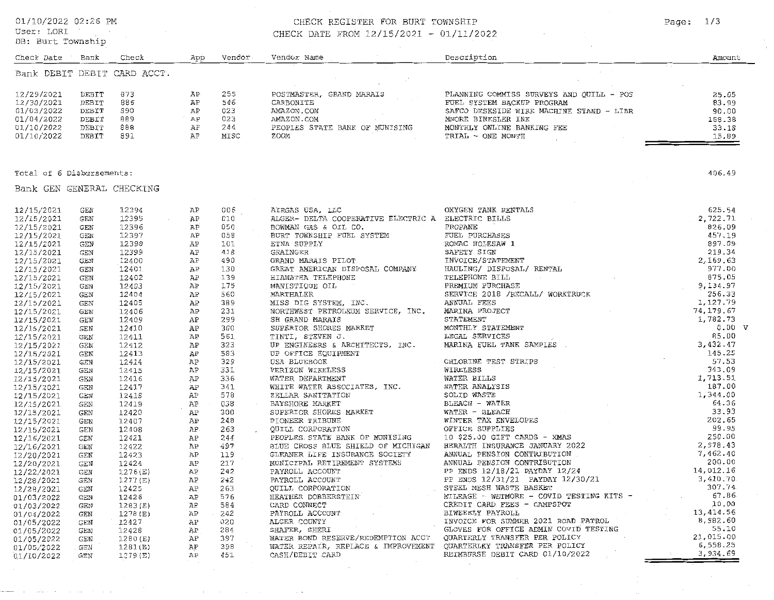01/10/2022 02:26 PM

Bank

 $Check$ 

Vendor.

App

Vendor Name

 $\sim$ 

User: LORI DB: Burt Township

Check Date

# CHECK REGISTER FOR BURT TOWNSHIP

Description

CHECK DATE FROM 12/15/2021 - 01/11/2022

|                           |                    | Bank DEBIT DEBIT CARD ACCT.      |          |                      |                                                                                                                                                                                                                                          |        |
|---------------------------|--------------------|----------------------------------|----------|----------------------|------------------------------------------------------------------------------------------------------------------------------------------------------------------------------------------------------------------------------------------|--------|
| 12/29/2021                | DEBIT              | 873                              | AP.      | 255                  |                                                                                                                                                                                                                                          |        |
| 12/30/2021                | DEBIT              | 886                              | AP       | 546                  |                                                                                                                                                                                                                                          |        |
| 01/03/2022                | DEBIT              | 890                              | AP       | 023                  |                                                                                                                                                                                                                                          |        |
| 01/04/2022                | DEBIT              | 889<br>AP<br>AP<br>AP            |          | 023                  |                                                                                                                                                                                                                                          |        |
| 01/10/2022                | DEBIT              | 888                              |          | 244                  |                                                                                                                                                                                                                                          |        |
| 01/10/2022                | DEBIT              | 891                              |          | MISC                 |                                                                                                                                                                                                                                          |        |
|                           |                    |                                  |          |                      | EXERIBONITE<br>CARBONITE FUEL SYSTEM BACKUP PROGRAM<br>MAZON.COM SAFCO DESKSIDE WIRE MACHINE STAND - LIBR 90.00<br>MAZON.COM MONTHLY ONLINE BANKLING FEE<br>PEOPLES STATE BANK OF MUNISING MONTHLY ONLINE BANKLING FEE<br>TRIAL - ONE MO |        |
| Total of 6 Disbursements: |                    |                                  |          |                      |                                                                                                                                                                                                                                          | 406.49 |
| Bank GEN GENERAL CHECKING |                    |                                  |          |                      |                                                                                                                                                                                                                                          |        |
| 12/15/2021                | GEN                | 12394                            | ΆP       | 006                  |                                                                                                                                                                                                                                          |        |
| 12/15/2021                | GEN                | 12395<br>$\sim 100$ km s $^{-1}$ | ΑP       | 010                  |                                                                                                                                                                                                                                          |        |
| 12/15/2021                | GEN                | 12396                            | AP       | 050                  |                                                                                                                                                                                                                                          |        |
| 12/15/2021                | GEN                | 12397                            | АP       | 058                  |                                                                                                                                                                                                                                          |        |
| 12/15/2021                | GEN                | 12398                            | ΆP       | 101                  |                                                                                                                                                                                                                                          |        |
| 12/15/2021                | GEN                | 12399                            | ΑP       | 418                  |                                                                                                                                                                                                                                          |        |
| 12/15/2021                | GEN                | 12400                            | ΑP       | 490                  |                                                                                                                                                                                                                                          |        |
| 12/15/2021                | GEN                | 12401                            | ΆP       | 130                  |                                                                                                                                                                                                                                          |        |
| 12/15/2021                | GEN                | 12402                            | AP       | 139                  |                                                                                                                                                                                                                                          |        |
| 12/15/2021                | GEN                | 12403                            | AP       | 175                  |                                                                                                                                                                                                                                          |        |
| 12/15/2021                | GEN                | 12404                            | ΑP       | 560                  |                                                                                                                                                                                                                                          |        |
| 12/15/2021                | GEN                | 12405                            | AP       | 389                  |                                                                                                                                                                                                                                          |        |
| 12/15/2021                | GEN                | 12406                            | ΑP       | 231<br>299           |                                                                                                                                                                                                                                          |        |
| 12/15/2021                | GEN                | 12409                            | АP       |                      |                                                                                                                                                                                                                                          |        |
| 12/15/2021                | GEN                | 12410                            | AP       | 300                  |                                                                                                                                                                                                                                          | 0.00 V |
| 12/15/2021<br>12/15/2021  | GEN<br>GEN         | 12411<br>12412                   | ΆP<br>ΆP | 561<br>323           |                                                                                                                                                                                                                                          |        |
| 12/15/2021                | $\mathop{\rm GEM}$ | 12413                            | AP       | 583                  |                                                                                                                                                                                                                                          |        |
| 12/15/2021                | GEN                | 12414                            | AP       | 329                  |                                                                                                                                                                                                                                          |        |
| 12/15/2021                | GEN                | 12415                            | AP       | 331                  |                                                                                                                                                                                                                                          |        |
| 12/15/2021                | <b>GEN</b>         | 12416                            | ΑP       | 336                  |                                                                                                                                                                                                                                          |        |
| 12/15/2021                | GEN                | 12417                            | AP       | 341                  |                                                                                                                                                                                                                                          |        |
| 12/15/2021                | GEN                | 12418                            | AP       | 578                  |                                                                                                                                                                                                                                          |        |
| 12/15/2021                | GEN                | 12419                            | AP       | 038<br>$\sim$ $\sim$ |                                                                                                                                                                                                                                          |        |
| 12/15/2021                | GEN                | 12420                            | ΆP       | 300                  |                                                                                                                                                                                                                                          |        |
| 12/15/2021                | GEN                | 12407                            | AP       | 248                  |                                                                                                                                                                                                                                          |        |
| 12/15/2021                | GEN                | 12408                            | AP.      | 263                  |                                                                                                                                                                                                                                          |        |
| 12/16/2021                | GEN                | 12421                            | ΑP       | 244                  |                                                                                                                                                                                                                                          |        |
| 12/16/2021                | GEN                | 12422                            | AP       | 497                  |                                                                                                                                                                                                                                          |        |
| 12/20/2021                | GEN                | 12423                            | AP       | 119                  |                                                                                                                                                                                                                                          |        |
| 12/20/2021                | GEN                | 12424                            | ΆP       | 217                  |                                                                                                                                                                                                                                          |        |
| 12/22/2021                | GEN                | 1276(E)                          | AP       | 242                  |                                                                                                                                                                                                                                          |        |
| 12/28/2021                | GEN                | 1277(E)                          | ΆP       | 242                  |                                                                                                                                                                                                                                          |        |
| 12/28/2021                | GEN                | 12425                            | ΆP       | 263                  |                                                                                                                                                                                                                                          |        |
| 01/03/2022                | GEN                | 12426                            | AP       | 576                  |                                                                                                                                                                                                                                          |        |
| 01/03/2022                | GEN                | 1283(E)                          | ΑP       | 584                  |                                                                                                                                                                                                                                          |        |
| 01/04/2022                | <b>GEN</b>         | 1278(E)                          | ΆP       | 2.42                 |                                                                                                                                                                                                                                          |        |
| 01/05/2022                | <b>GEN</b>         | 12427                            | ΑP       | 020                  |                                                                                                                                                                                                                                          |        |
| 01/05/2022                | GEN                | 12428                            | AP       | 284                  |                                                                                                                                                                                                                                          |        |
| 01/05/2022                | <b>GEN</b>         | 1280(E)                          | АP       | 397                  |                                                                                                                                                                                                                                          |        |
| 01/05/2022                | GEN                | 1281(E)                          | ΑP       | 398                  |                                                                                                                                                                                                                                          |        |
| 01/10/2022                | GEN                | 1279(E)                          | ΆP       | 451                  |                                                                                                                                                                                                                                          |        |

Page:  $1/3$ 

Amount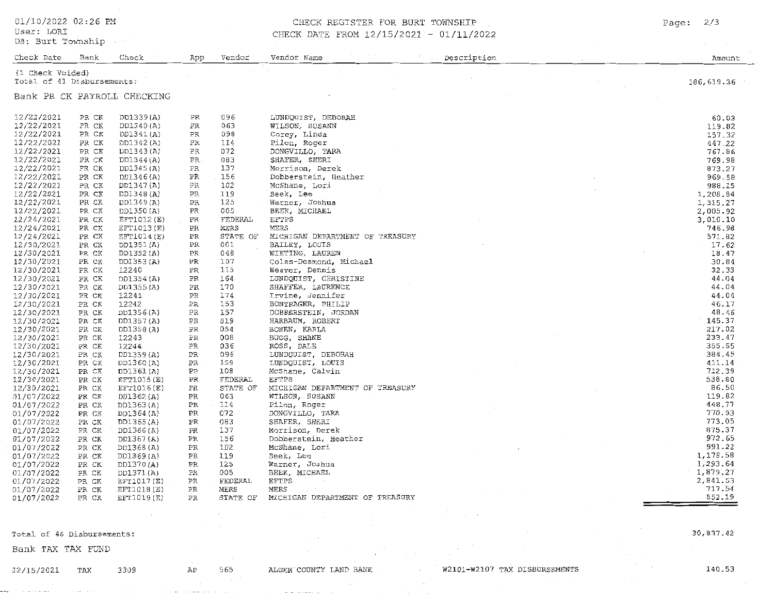01/10/2022 02:26 PM

User: LORI

### DB: Burt Township

### CHECK REGISTER FOR BURT TOWNSHIP

CHECK DATE FROM 12/15/2021 - 01/11/2022

Check Date Bank Check App Vendor Vendor Name Description Amount (1 Check Voided) .<br>Total of 41 Disbursements: 186,619.36 Bank PR CK PAYROLL CHECKING 12/22/2021 PR CK DD1339(A) **PR** 096 LUNDOUIST. DEBORAH 60.03 12/22/2021 PR CK 063 DD1340(A) PR WILSON, SUSANN 119.82 12/22/2021 PR CK PR 098 Corev, Linda DD1341(A) 157 32 12/22/2021 PR CK DD1342(A) PR 114 Pilon, Roger 447.22 DONGVILLO, TARA 12/22/2021 PR CK DD1343(A) **PR** 072 767.86 12/22/2021 PR. 083 SHAFER, SHERI PR CK DD1344(A) 769.98 12/22/2021 PR CK DD1345(A) PR 137 Morrison, Derek 873.27 12/22/2021 PR CK DD1346(A) PR 156 Dobberstein. Heather 969.58 12/22/2021 PR CK DD1347(A) DR  $102$ McShane, Lori 988.15 12/22/2021 PR CK DD1348(A) PR 119 Beek. Lee 1.208.84 PR CK PR 125 Warner, Joshua 12/22/2021 DD1349(A) 1,315.27 12/22/2021 PR CK DD1350(A)  $PR$ 005 BEEK, MICHAFL 2,005.92 12/24/2021 PR CK EFT1012(E) **PR** FEDERAL **FFTPS**  $3.010.10$ MERS EFT1013(E)  $\mathtt{PR}$ **MERS** 12/24/2021 PR CK 746.98 STATE OF MICHIGAN DEPARTMENT OF TREASURY 571.82 12/24/2021 PR CK EFT1014(E) PR 12/30/2021 PR CK DD1351 (A)  $PR$  $001$ BAILEY, LOUIS  $17.62$  $048$ WIETING, LAUREN 12/30/2021 PR CK DD1352(A) PR 18.47 12/30/2021 PR CK DD1353(A) PR 107 Coles-Desmond, Michael 30.84 PR 115 32.33 12/30/2021 PR CK 12240 Weaver, Dennis 12/30/2021 PR CK DD1354(A) PR 164 LUNDOUIST, CHRISTINE 44.04 170 SHAFFER, LAURENCE 12/30/2021 PR CK DD1355(A) PR 44.04 12241 PR 174 Irvine, Jennifer 44.04 12/30/2021 PR CK  $12/30/2021$ PR CK 12242 PR 153 BONTRAGER, PHILIP 46.17 DOBBERSTEIN, JORDAN  $157$ 48.46 12/30/2021 PR CK DD1356(A) PR 12/30/2021 PR CK DD1357(A)  $PR$ 019 HARBAUM, ROBERT 145.37 12/30/2021 PR CK DD1358(A) PR 054 BOWEN, KARLA  $217.02$ **PR OOR** BUGG, SHANE 233.47 12/30/2021 PR CK 12243  $036$ ROSS, DALE PR CK 12244 PR 355.55 12/30/2021 PR 096 LUNDQUIST, DEBORAH 12/30/2021 PR CK DD1359(A) 384.45 12/30/2021 PR 159 LUNDOUIST, LOUIS 411.14 PR CK DD1360(A) 108 McShane, Calvin 712.39 12/30/2021 PR CK DD1361(A)  $PR$ PR **FEDERAL** EFTPS 538.80 12/30/2021 PR CK EFT1015(E) 86.50 12/30/2021 PR CK EFT1016(E)  $\mathtt{PR}$ STATE OF MICHIGAN DEPARTMENT OF TREASURY 119.82 01/07/2022 PR CK DD1362(A) PR 063 WILSON, SUSANN PR CK PR 114 Pilon, Roger 448.77 01/07/2022 DD1363(A) DONGVILLO, TARA 770.93 01/07/2022 PR CK DD1364(A) PR 072 PR 083 SHAFER, SHERI 773.05 01/07/2022 PR CK DD1365(A) 137 Morrison, Derek 875.37 PR 01/07/2022 PR CK DD1366(A) 01/07/2022 PR CK DD1367(A) PR 156 Dobberstein, Heather 972.65 **PR** 102 McShane, Lori 991.22 01/07/2022 PR CK DD1368(A) Beek, Lee 1,178.58 PR CK DD1369(A)  $PR$ 119 01/07/2022 PR 125 Warner, Joshua 1.293.64 01/07/2022 PR CK DD1370(A) PR CK DD1371(A) PR 005 BEEK, MICHAEL 1.879.27 01/07/2022 01/07/2022 PR CK EFT1017(E) PR FEDERAL **EFTPS** 2.841.53 PR CK EFT1018(E) PR **MERS** MERS 717.54 01/07/2022 STATE OF MICHIGAN DEPARTMENT OF TREASURY 552.19 01/07/2022 PR CK EFT1019(E) **PR** 

Total of 46 Disbursements:

Bank TAX TAX FUND

 $12/15/2021$ TAX AP

3309

565

ALGER COUNTY LAND BANK

W2101-W2107 TAX DISBURSEMENTS

30.837.42

140.53

 $Pace:$  $2/3$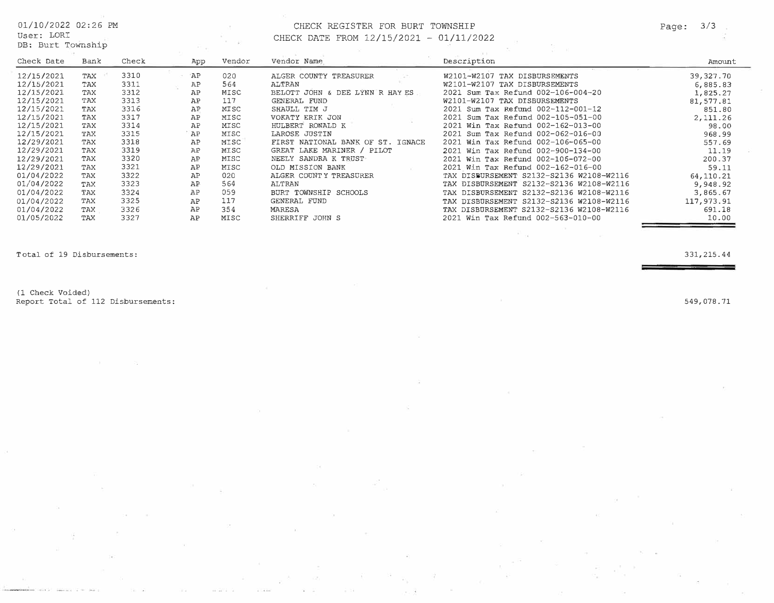DB: Burt Township

## $01/10/2022$  02:26 PM CHECK REGISTER FOR BURT TOWNSHIP Page: 3/3 CHECK DATE FROM 12/15/2021 - 01/11/2022

| Check Date | Bank | Check | App       | Vendor | Vendor Name                       | Description                              | Amount     |
|------------|------|-------|-----------|--------|-----------------------------------|------------------------------------------|------------|
| 12/15/2021 | TAX  | 3310  | <b>AP</b> | 020    | ALGER COUNTY TREASURER            | W2101-W2107 TAX DISBURSEMENTS            | 39,327.70  |
| 12/15/2021 | TAX  | 3311  | AP        | 564    | ALTRAN                            | W2101-W2107 TAX DISBURSEMENTS            | 6,885.83   |
| 12/15/2021 | TAX  | 3312  | AP        | MISC   | BELOTT JOHN & DEE LYNN R HAY ES   | 2021 Sum Tax Refund 002-106-004-20       | 1,825.27   |
| 12/15/2021 | TAX  | 3313  | AP        | 117    | GENERAL FUND                      | W2101-W2107 TAX DISBURSEMENTS            | 81,577.81  |
| 12/15/2021 | TAX  | 3316  | AP        | MISC   | SHAULL TIM J                      | 2021 Sum Tax Refund 002-112-001-12       | 851.80     |
| 12/15/2021 | TAX  | 3317  | AP        | MISC   | VOKATY ERIK JON                   | 2021 Sum Tax Refund 002-105-051-00       | 2,111.26   |
| 12/15/2021 | TAX  | 3314  | AP        | MISC   | HULBERT RONALD K                  | 2021 Win Tax Refund 002-162-013-00       | 98.00      |
| 12/15/2021 | TAX  | 3315  | AP        | MISC   | LAROSE JUSTIN                     | 2021 Sum Tax Refund 002-062-016-00       | 968.99     |
| 12/29/2021 | TAX  | 3318  | AP        | MISC   | FIRST NATIONAL BANK OF ST. IGNACE | 2021 Win Tax Refund 002-106-065-00       | 557.69     |
| 12/29/2021 | TAX  | 3319  | AP        | MISC   | GREAT LAKE MARINER / PILOT        | 2021 Win Tax Refund 002-900-134-00       | 11.19      |
| 12/29/2021 | TAX  | 3320  | AP        | MISC   | NEELY SANDRA K TRUST              | 2021 Win Tax Refund 002-106-072-00       | 200.37     |
| 12/29/2021 | TAX  | 3321  | AP        | MISC   | OLD MISSION BANK                  | 2021 Win Tax Refund 002-162-016-00       | 59.11      |
| 01/04/2022 | TAX  | 3322  | AP        | 020    | ALGER COUNTY TREASURER            | TAX DISBURSEMENT S2132-S2136 W2108-W2116 | 64, 110.21 |
| 01/04/2022 | TAX  | 3323  | AP        | 564    | ALTRAN                            | TAX DISBURSEMENT S2132-S2136 W2108-W2116 | 9,948.92   |
| 01/04/2022 | TAX  | 3324  | AP        | 059    | BURT TOWNSHIP SCHOOLS             | TAX DISBURSEMENT S2132-S2136 W2108-W2116 | 3,865.67   |
| 01/04/2022 | TAX  | 3325  | AP        | 117    | GENERAL FUND                      | TAX DISBURSEMENT S2132-S2136 W2108-W2116 | 117,973.91 |
| 01/04/2022 | TAX  | 3326  | AP        | 354    | MARESA                            | TAX DISBURSEMENT S2132-S2136 W2108-W2116 | 691.18     |
| 01/05/2022 | TAX  | 3327  | AP        | MISC   | SHERRIFF JOHN S                   | 2021 Win Tax Refund 002-563-010-00       | 10.00      |

Total of 19 Disbursements: 331,215.44

(1 Check Voided) Report Total of 112 Disbursements: 549,078.71